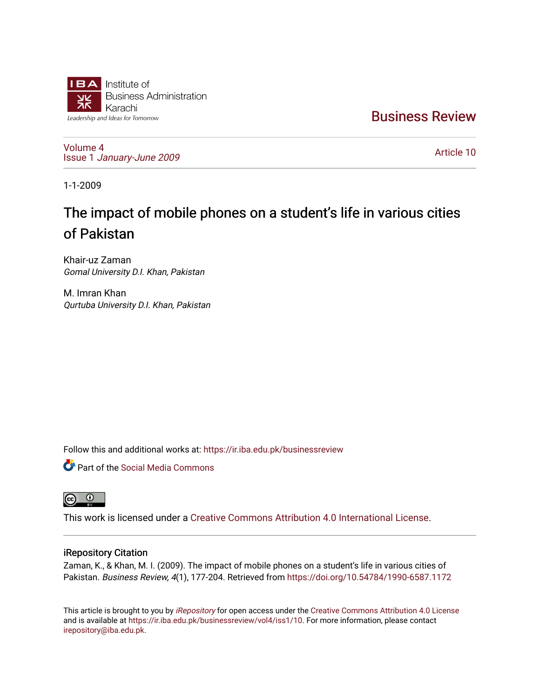

[Business Review](https://ir.iba.edu.pk/businessreview) 

[Volume 4](https://ir.iba.edu.pk/businessreview/vol4) Issue 1 [January-June 2009](https://ir.iba.edu.pk/businessreview/vol4/iss1) 

[Article 10](https://ir.iba.edu.pk/businessreview/vol4/iss1/10) 

1-1-2009

# The impact of mobile phones on a student's life in various cities of Pakistan

Khair-uz Zaman Gomal University D.I. Khan, Pakistan

M. Imran Khan Qurtuba University D.I. Khan, Pakistan

Follow this and additional works at: [https://ir.iba.edu.pk/businessreview](https://ir.iba.edu.pk/businessreview?utm_source=ir.iba.edu.pk%2Fbusinessreview%2Fvol4%2Fiss1%2F10&utm_medium=PDF&utm_campaign=PDFCoverPages) 

Part of the [Social Media Commons](http://network.bepress.com/hgg/discipline/1249?utm_source=ir.iba.edu.pk%2Fbusinessreview%2Fvol4%2Fiss1%2F10&utm_medium=PDF&utm_campaign=PDFCoverPages) 



This work is licensed under a [Creative Commons Attribution 4.0 International License](https://creativecommons.org/licenses/by/4.0/).

## iRepository Citation

Zaman, K., & Khan, M. I. (2009). The impact of mobile phones on a student's life in various cities of Pakistan. Business Review, 4(1), 177-204. Retrieved from <https://doi.org/10.54784/1990-6587.1172>

This article is brought to you by [iRepository](https://ir.iba.edu.pk/) for open access under the Creative Commons Attribution 4.0 License and is available at [https://ir.iba.edu.pk/businessreview/vol4/iss1/10.](https://ir.iba.edu.pk/businessreview/vol4/iss1/10) For more information, please contact [irepository@iba.edu.pk.](mailto:irepository@iba.edu.pk)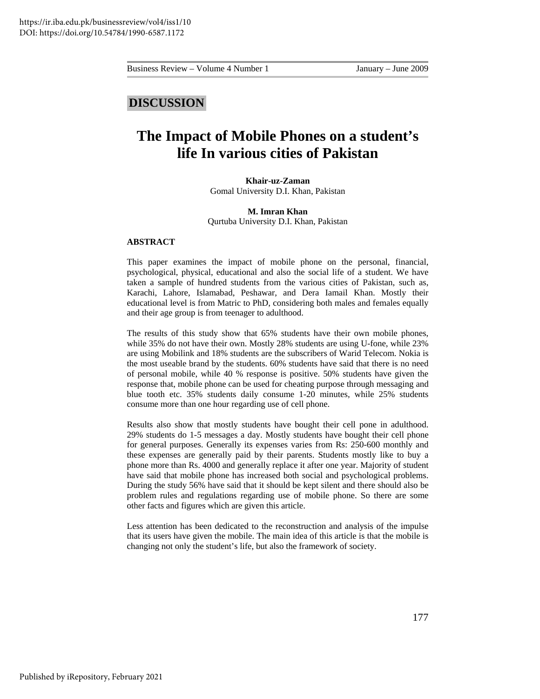## **DISCUSSION**

## **The Impact of Mobile Phones on a student's life In various cities of Pakistan**

## **Khair-uz-Zaman**  Gomal University D.I. Khan, Pakistan

#### **M. Imran Khan**

Qurtuba University D.I. Khan, Pakistan

## **ABSTRACT**

This paper examines the impact of mobile phone on the personal, financial, psychological, physical, educational and also the social life of a student. We have taken a sample of hundred students from the various cities of Pakistan, such as, Karachi, Lahore, Islamabad, Peshawar, and Dera Iamail Khan. Mostly their educational level is from Matric to PhD, considering both males and females equally and their age group is from teenager to adulthood.

The results of this study show that 65% students have their own mobile phones, while 35% do not have their own. Mostly 28% students are using U-fone, while 23% are using Mobilink and 18% students are the subscribers of Warid Telecom. Nokia is the most useable brand by the students. 60% students have said that there is no need of personal mobile, while 40 % response is positive. 50% students have given the response that, mobile phone can be used for cheating purpose through messaging and blue tooth etc. 35% students daily consume 1-20 minutes, while 25% students consume more than one hour regarding use of cell phone.

Results also show that mostly students have bought their cell pone in adulthood. 29% students do 1-5 messages a day. Mostly students have bought their cell phone for general purposes. Generally its expenses varies from Rs: 250-600 monthly and these expenses are generally paid by their parents. Students mostly like to buy a phone more than Rs. 4000 and generally replace it after one year. Majority of student have said that mobile phone has increased both social and psychological problems. During the study 56% have said that it should be kept silent and there should also be problem rules and regulations regarding use of mobile phone. So there are some other facts and figures which are given this article.

Less attention has been dedicated to the reconstruction and analysis of the impulse that its users have given the mobile. The main idea of this article is that the mobile is changing not only the student's life, but also the framework of society.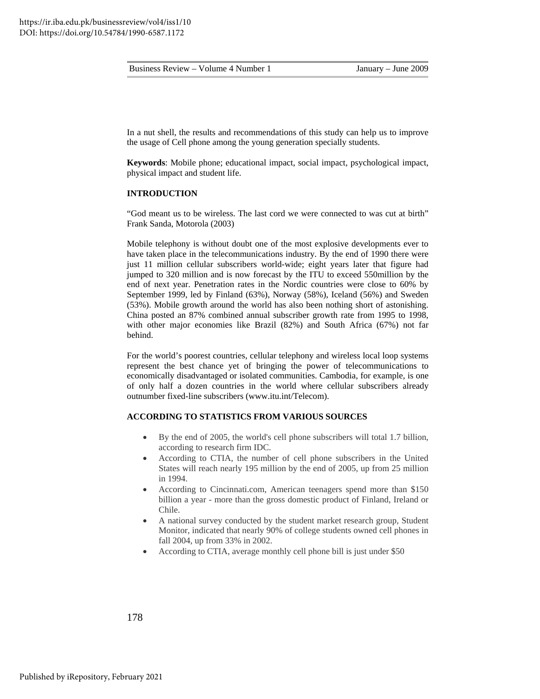In a nut shell, the results and recommendations of this study can help us to improve the usage of Cell phone among the young generation specially students.

**Keywords**: Mobile phone; educational impact, social impact, psychological impact, physical impact and student life.

#### **INTRODUCTION**

"God meant us to be wireless. The last cord we were connected to was cut at birth" Frank Sanda, Motorola (2003)

Mobile telephony is without doubt one of the most explosive developments ever to have taken place in the telecommunications industry. By the end of 1990 there were just 11 million cellular subscribers world-wide; eight years later that figure had jumped to 320 million and is now forecast by the ITU to exceed 550million by the end of next year. Penetration rates in the Nordic countries were close to 60% by September 1999, led by Finland (63%), Norway (58%), Iceland (56%) and Sweden (53%). Mobile growth around the world has also been nothing short of astonishing. China posted an 87% combined annual subscriber growth rate from 1995 to 1998, with other major economies like Brazil (82%) and South Africa (67%) not far behind.

For the world's poorest countries, cellular telephony and wireless local loop systems represent the best chance yet of bringing the power of telecommunications to economically disadvantaged or isolated communities. Cambodia, for example, is one of only half a dozen countries in the world where cellular subscribers already outnumber fixed-line subscribers [\(www.itu.int/Telecom\)](http://www.itu.int/Telecom).

## **ACCORDING TO STATISTICS FROM VARIOUS SOURCES**

- By the end of 2005, the world's cell phone subscribers will total 1.7 billion, according to research firm IDC.
- According to CTIA, the number of cell phone subscribers in the United States will reach nearly 195 million by the end of 2005, up from 25 million in 1994.
- According to Cincinnati.com, American teenagers spend more than \$150 billion a year - more than the gross domestic product of Finland, Ireland or Chile.
- A national survey conducted by the student market research group, Student Monitor, indicated that nearly 90% of college students owned cell phones in fall 2004, up from 33% in 2002.
- According to CTIA, average monthly cell phone bill is just under \$50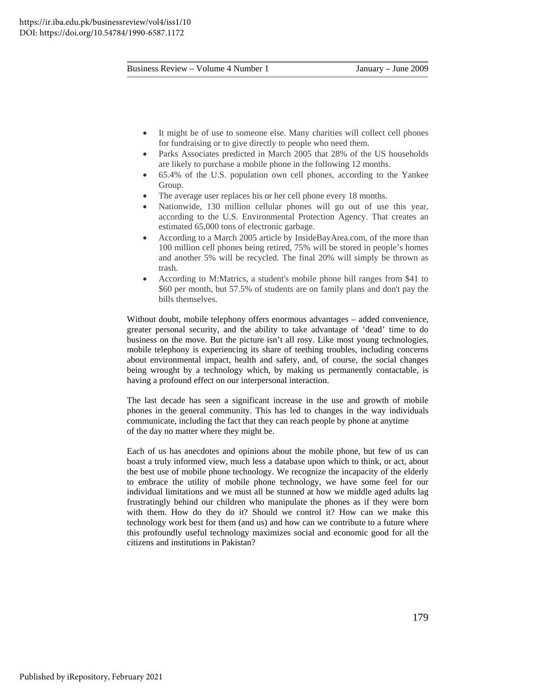- It might be of use to someone else. Many charities will collect cell phones for fundraising or to give directly to people who need them.
- Parks Associates predicted in March 2005 that 28% of the US households are likely to purchase a mobile phone in the following 12 months.
- 65.4% of the U.S. population own cell phones, according to the Yankee Group.
- The average user replaces his or her cell phone every 18 months.
- Nationwide, 130 million cellular phones will go out of use this year, according to the U.S. Environmental Protection Agency. That creates an estimated 65,000 tons of electronic garbage.
- According to a March 2005 article by InsideBayArea.com, of the more than 100 million cell phones being retired, 75% will be stored in people's homes and another 5% will be recycled. The final 20% will simply be thrown as trash.
- According to M:Matrics, a student's mobile phone bill ranges from \$41 to \$60 per month, but 57.5% of students are on family plans and don't pay the bills themselves.

Without doubt, mobile telephony offers enormous advantages – added convenience, greater personal security, and the ability to take advantage of 'dead' time to do business on the move. But the picture isn't all rosy. Like most young technologies, mobile telephony is experiencing its share of teething troubles, including concerns about environmental impact, health and safety, and, of course, the social changes being wrought by a technology which, by making us permanently contactable, is having a profound effect on our interpersonal interaction.

The last decade has seen a significant increase in the use and growth of mobile phones in the general community. This has led to changes in the way individuals communicate, including the fact that they can reach people by phone at anytime of the day no matter where they might be.

Each of us has anecdotes and opinions about the mobile phone, but few of us can boast a truly informed view, much less a database upon which to think, or act, about the best use of mobile phone technology. We recognize the incapacity of the elderly to embrace the utility of mobile phone technology, we have some feel for our individual limitations and we must all be stunned at how we middle aged adults lag frustratingly behind our children who manipulate the phones as if they were born with them. How do they do it? Should we control it? How can we make this technology work best for them (and us) and how can we contribute to a future where this profoundly useful technology maximizes social and economic good for all the citizens and institutions in Pakistan?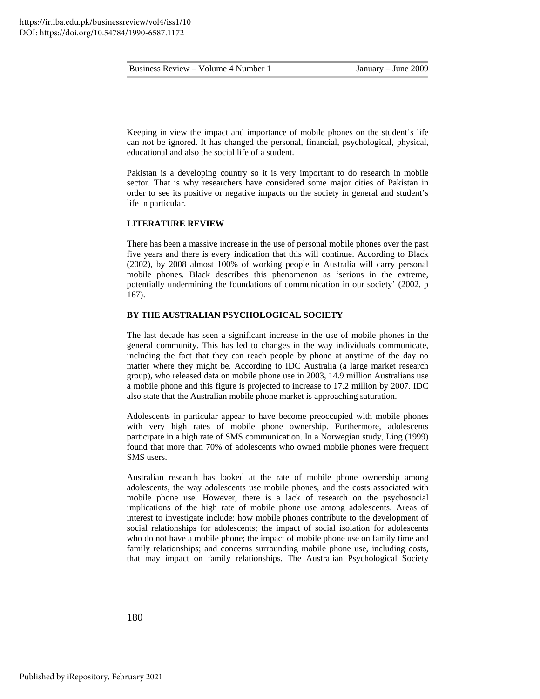Keeping in view the impact and importance of mobile phones on the student's life can not be ignored. It has changed the personal, financial, psychological, physical, educational and also the social life of a student.

Pakistan is a developing country so it is very important to do research in mobile sector. That is why researchers have considered some major cities of Pakistan in order to see its positive or negative impacts on the society in general and student's life in particular.

## **LITERATURE REVIEW**

There has been a massive increase in the use of personal mobile phones over the past five years and there is every indication that this will continue. According to Black (2002), by 2008 almost 100% of working people in Australia will carry personal mobile phones. Black describes this phenomenon as 'serious in the extreme, potentially undermining the foundations of communication in our society' (2002, p 167).

## **BY THE AUSTRALIAN PSYCHOLOGICAL SOCIETY**

The last decade has seen a significant increase in the use of mobile phones in the general community. This has led to changes in the way individuals communicate, including the fact that they can reach people by phone at anytime of the day no matter where they might be. According to IDC Australia (a large market research group), who released data on mobile phone use in 2003, 14.9 million Australians use a mobile phone and this figure is projected to increase to 17.2 million by 2007. IDC also state that the Australian mobile phone market is approaching saturation.

Adolescents in particular appear to have become preoccupied with mobile phones with very high rates of mobile phone ownership. Furthermore, adolescents participate in a high rate of SMS communication. In a Norwegian study, Ling (1999) found that more than 70% of adolescents who owned mobile phones were frequent SMS users.

Australian research has looked at the rate of mobile phone ownership among adolescents, the way adolescents use mobile phones, and the costs associated with mobile phone use. However, there is a lack of research on the psychosocial implications of the high rate of mobile phone use among adolescents. Areas of interest to investigate include: how mobile phones contribute to the development of social relationships for adolescents; the impact of social isolation for adolescents who do not have a mobile phone; the impact of mobile phone use on family time and family relationships; and concerns surrounding mobile phone use, including costs, that may impact on family relationships. The Australian Psychological Society

180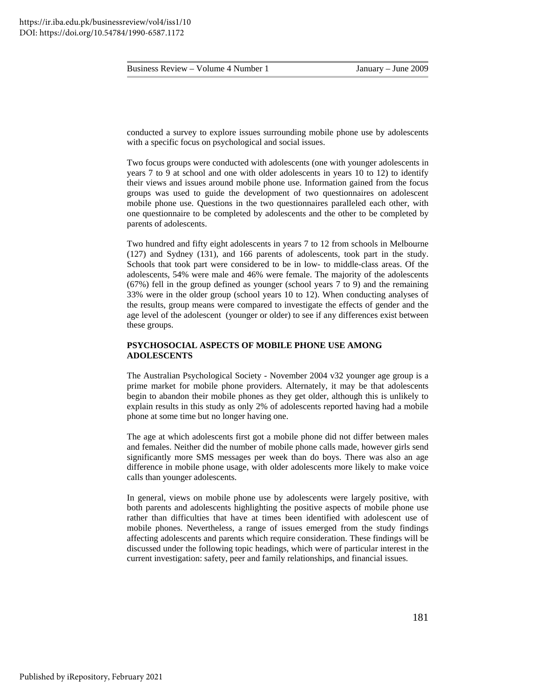conducted a survey to explore issues surrounding mobile phone use by adolescents with a specific focus on psychological and social issues.

Two focus groups were conducted with adolescents (one with younger adolescents in years 7 to 9 at school and one with older adolescents in years 10 to 12) to identify their views and issues around mobile phone use. Information gained from the focus groups was used to guide the development of two questionnaires on adolescent mobile phone use. Questions in the two questionnaires paralleled each other, with one questionnaire to be completed by adolescents and the other to be completed by parents of adolescents.

Two hundred and fifty eight adolescents in years 7 to 12 from schools in Melbourne (127) and Sydney (131), and 166 parents of adolescents, took part in the study. Schools that took part were considered to be in low- to middle-class areas. Of the adolescents, 54% were male and 46% were female. The majority of the adolescents (67%) fell in the group defined as younger (school years 7 to 9) and the remaining 33% were in the older group (school years 10 to 12). When conducting analyses of the results, group means were compared to investigate the effects of gender and the age level of the adolescent (younger or older) to see if any differences exist between these groups.

## **PSYCHOSOCIAL ASPECTS OF MOBILE PHONE USE AMONG ADOLESCENTS**

The Australian Psychological Society - November 2004 v32 younger age group is a prime market for mobile phone providers. Alternately, it may be that adolescents begin to abandon their mobile phones as they get older, although this is unlikely to explain results in this study as only 2% of adolescents reported having had a mobile phone at some time but no longer having one.

The age at which adolescents first got a mobile phone did not differ between males and females. Neither did the number of mobile phone calls made, however girls send significantly more SMS messages per week than do boys. There was also an age difference in mobile phone usage, with older adolescents more likely to make voice calls than younger adolescents.

In general, views on mobile phone use by adolescents were largely positive, with both parents and adolescents highlighting the positive aspects of mobile phone use rather than difficulties that have at times been identified with adolescent use of mobile phones. Nevertheless, a range of issues emerged from the study findings affecting adolescents and parents which require consideration. These findings will be discussed under the following topic headings, which were of particular interest in the current investigation: safety, peer and family relationships, and financial issues.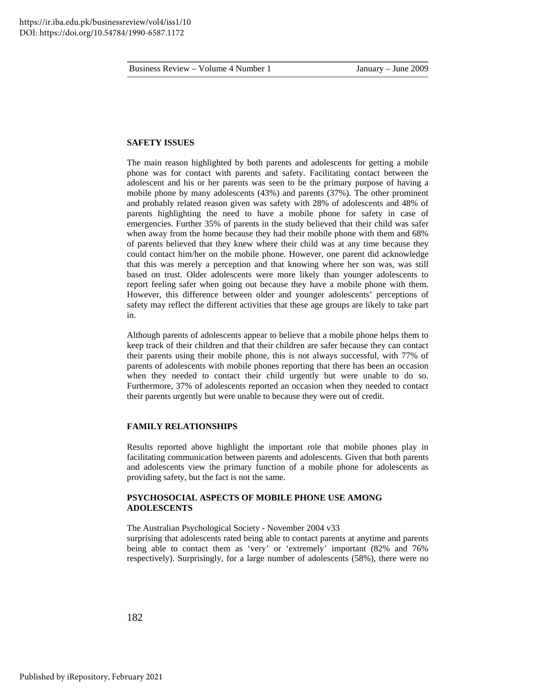## **SAFETY ISSUES**

The main reason highlighted by both parents and adolescents for getting a mobile phone was for contact with parents and safety. Facilitating contact between the adolescent and his or her parents was seen to be the primary purpose of having a mobile phone by many adolescents (43%) and parents (37%). The other prominent and probably related reason given was safety with 28% of adolescents and 48% of parents highlighting the need to have a mobile phone for safety in case of emergencies. Further 35% of parents in the study believed that their child was safer when away from the home because they had their mobile phone with them and 68% of parents believed that they knew where their child was at any time because they could contact him/her on the mobile phone. However, one parent did acknowledge that this was merely a perception and that knowing where her son was, was still based on trust. Older adolescents were more likely than younger adolescents to report feeling safer when going out because they have a mobile phone with them. However, this difference between older and younger adolescents' perceptions of safety may reflect the different activities that these age groups are likely to take part in.

Although parents of adolescents appear to believe that a mobile phone helps them to keep track of their children and that their children are safer because they can contact their parents using their mobile phone, this is not always successful, with 77% of parents of adolescents with mobile phones reporting that there has been an occasion when they needed to contact their child urgently but were unable to do so. Furthermore, 37% of adolescents reported an occasion when they needed to contact their parents urgently but were unable to because they were out of credit.

## **FAMILY RELATIONSHIPS**

Results reported above highlight the important role that mobile phones play in facilitating communication between parents and adolescents. Given that both parents and adolescents view the primary function of a mobile phone for adolescents as providing safety, but the fact is not the same.

## **PSYCHOSOCIAL ASPECTS OF MOBILE PHONE USE AMONG ADOLESCENTS**

The Australian Psychological Society - November 2004 v33

surprising that adolescents rated being able to contact parents at anytime and parents being able to contact them as 'very' or 'extremely' important (82% and 76% respectively). Surprisingly, for a large number of adolescents (58%), there were no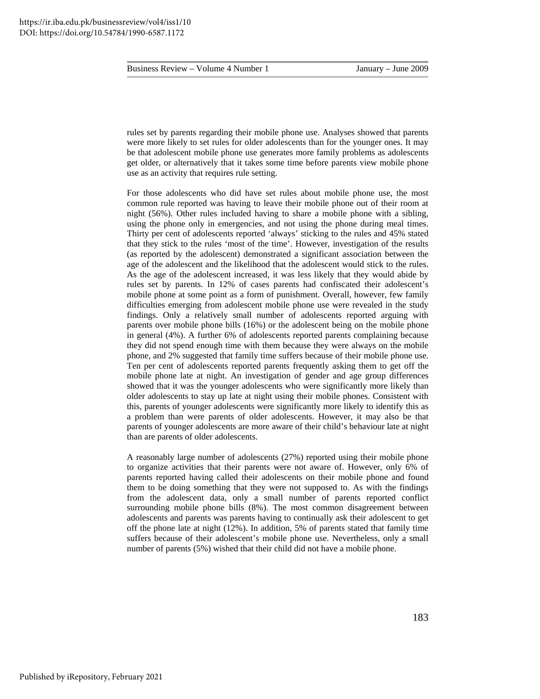rules set by parents regarding their mobile phone use. Analyses showed that parents were more likely to set rules for older adolescents than for the younger ones. It may be that adolescent mobile phone use generates more family problems as adolescents get older, or alternatively that it takes some time before parents view mobile phone use as an activity that requires rule setting.

For those adolescents who did have set rules about mobile phone use, the most common rule reported was having to leave their mobile phone out of their room at night (56%). Other rules included having to share a mobile phone with a sibling, using the phone only in emergencies, and not using the phone during meal times. Thirty per cent of adolescents reported 'always' sticking to the rules and 45% stated that they stick to the rules 'most of the time'. However, investigation of the results (as reported by the adolescent) demonstrated a significant association between the age of the adolescent and the likelihood that the adolescent would stick to the rules. As the age of the adolescent increased, it was less likely that they would abide by rules set by parents. In 12% of cases parents had confiscated their adolescent's mobile phone at some point as a form of punishment. Overall, however, few family difficulties emerging from adolescent mobile phone use were revealed in the study findings. Only a relatively small number of adolescents reported arguing with parents over mobile phone bills (16%) or the adolescent being on the mobile phone in general (4%). A further 6% of adolescents reported parents complaining because they did not spend enough time with them because they were always on the mobile phone, and 2% suggested that family time suffers because of their mobile phone use. Ten per cent of adolescents reported parents frequently asking them to get off the mobile phone late at night. An investigation of gender and age group differences showed that it was the younger adolescents who were significantly more likely than older adolescents to stay up late at night using their mobile phones. Consistent with this, parents of younger adolescents were significantly more likely to identify this as a problem than were parents of older adolescents. However, it may also be that parents of younger adolescents are more aware of their child's behaviour late at night than are parents of older adolescents.

A reasonably large number of adolescents (27%) reported using their mobile phone to organize activities that their parents were not aware of. However, only 6% of parents reported having called their adolescents on their mobile phone and found them to be doing something that they were not supposed to. As with the findings from the adolescent data, only a small number of parents reported conflict surrounding mobile phone bills (8%). The most common disagreement between adolescents and parents was parents having to continually ask their adolescent to get off the phone late at night (12%). In addition, 5% of parents stated that family time suffers because of their adolescent's mobile phone use. Nevertheless, only a small number of parents (5%) wished that their child did not have a mobile phone.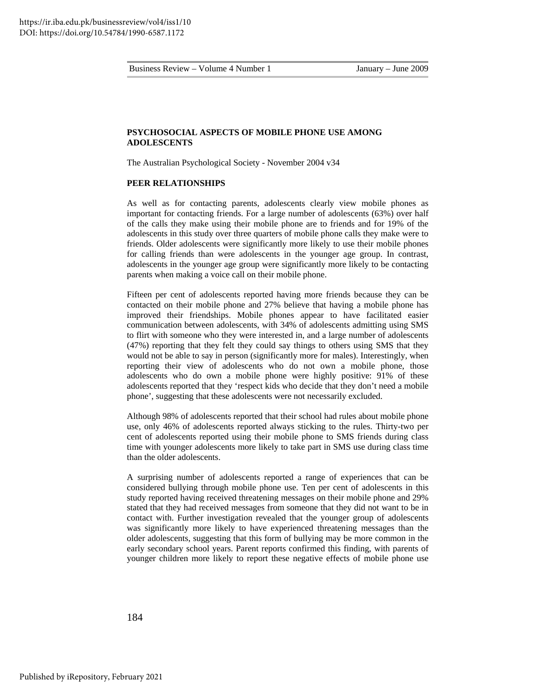## **PSYCHOSOCIAL ASPECTS OF MOBILE PHONE USE AMONG ADOLESCENTS**

The Australian Psychological Society - November 2004 v34

#### **PEER RELATIONSHIPS**

As well as for contacting parents, adolescents clearly view mobile phones as important for contacting friends. For a large number of adolescents (63%) over half of the calls they make using their mobile phone are to friends and for 19% of the adolescents in this study over three quarters of mobile phone calls they make were to friends. Older adolescents were significantly more likely to use their mobile phones for calling friends than were adolescents in the younger age group. In contrast, adolescents in the younger age group were significantly more likely to be contacting parents when making a voice call on their mobile phone.

Fifteen per cent of adolescents reported having more friends because they can be contacted on their mobile phone and 27% believe that having a mobile phone has improved their friendships. Mobile phones appear to have facilitated easier communication between adolescents, with 34% of adolescents admitting using SMS to flirt with someone who they were interested in, and a large number of adolescents (47%) reporting that they felt they could say things to others using SMS that they would not be able to say in person (significantly more for males). Interestingly, when reporting their view of adolescents who do not own a mobile phone, those adolescents who do own a mobile phone were highly positive: 91% of these adolescents reported that they 'respect kids who decide that they don't need a mobile phone', suggesting that these adolescents were not necessarily excluded.

Although 98% of adolescents reported that their school had rules about mobile phone use, only 46% of adolescents reported always sticking to the rules. Thirty-two per cent of adolescents reported using their mobile phone to SMS friends during class time with younger adolescents more likely to take part in SMS use during class time than the older adolescents.

A surprising number of adolescents reported a range of experiences that can be considered bullying through mobile phone use. Ten per cent of adolescents in this study reported having received threatening messages on their mobile phone and 29% stated that they had received messages from someone that they did not want to be in contact with. Further investigation revealed that the younger group of adolescents was significantly more likely to have experienced threatening messages than the older adolescents, suggesting that this form of bullying may be more common in the early secondary school years. Parent reports confirmed this finding, with parents of younger children more likely to report these negative effects of mobile phone use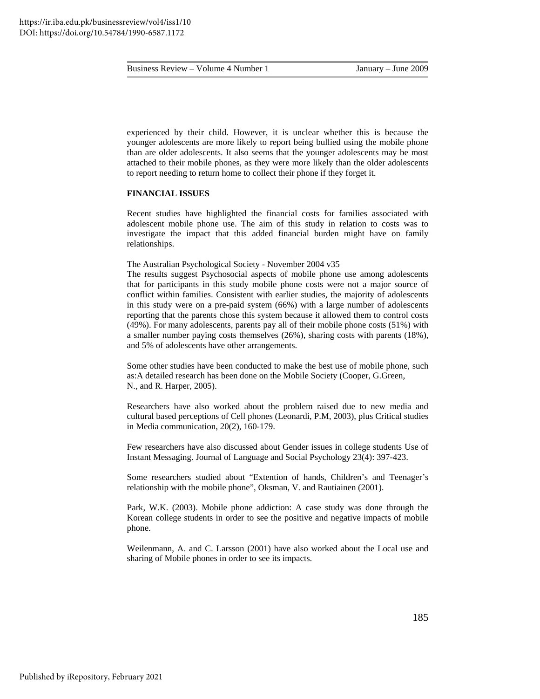experienced by their child. However, it is unclear whether this is because the younger adolescents are more likely to report being bullied using the mobile phone than are older adolescents. It also seems that the younger adolescents may be most attached to their mobile phones, as they were more likely than the older adolescents to report needing to return home to collect their phone if they forget it.

## **FINANCIAL ISSUES**

Recent studies have highlighted the financial costs for families associated with adolescent mobile phone use. The aim of this study in relation to costs was to investigate the impact that this added financial burden might have on family relationships.

The Australian Psychological Society - November 2004 v35

The results suggest Psychosocial aspects of mobile phone use among adolescents that for participants in this study mobile phone costs were not a major source of conflict within families. Consistent with earlier studies, the majority of adolescents in this study were on a pre-paid system (66%) with a large number of adolescents reporting that the parents chose this system because it allowed them to control costs (49%). For many adolescents, parents pay all of their mobile phone costs (51%) with a smaller number paying costs themselves (26%), sharing costs with parents (18%), and 5% of adolescents have other arrangements.

Some other studies have been conducted to make the best use of mobile phone, such as:A detailed research has been done on the Mobile Society (Cooper, G.Green, N., and R. Harper, 2005).

Researchers have also worked about the problem raised due to new media and cultural based perceptions of Cell phones (Leonardi, P.M, 2003), plus Critical studies in Media communication, 20(2), 160-179.

Few researchers have also discussed about Gender issues in college students Use of Instant Messaging. Journal of Language and Social Psychology 23(4): 397-423.

Some researchers studied about "Extention of hands, Children's and Teenager's relationship with the mobile phone", Oksman, V. and Rautiainen (2001).

Park, W.K. (2003). Mobile phone addiction: A case study was done through the Korean college students in order to see the positive and negative impacts of mobile phone.

Weilenmann, A. and C. Larsson (2001) have also worked about the Local use and sharing of Mobile phones in order to see its impacts.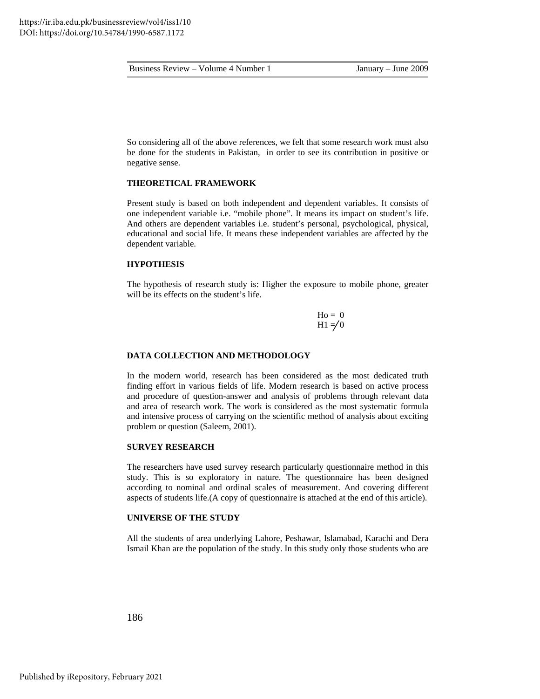So considering all of the above references, we felt that some research work must also be done for the students in Pakistan, in order to see its contribution in positive or negative sense.

## **THEORETICAL FRAMEWORK**

Present study is based on both independent and dependent variables. It consists of one independent variable i.e. "mobile phone". It means its impact on student's life. And others are dependent variables i.e. student's personal, psychological, physical, educational and social life. It means these independent variables are affected by the dependent variable.

## **HYPOTHESIS**

The hypothesis of research study is: Higher the exposure to mobile phone, greater will be its effects on the student's life.

> $Ho = 0$  $H1 \neq 0$

#### **DATA COLLECTION AND METHODOLOGY**

In the modern world, research has been considered as the most dedicated truth finding effort in various fields of life. Modern research is based on active process and procedure of question-answer and analysis of problems through relevant data and area of research work. The work is considered as the most systematic formula and intensive process of carrying on the scientific method of analysis about exciting problem or question (Saleem, 2001).

#### **SURVEY RESEARCH**

The researchers have used survey research particularly questionnaire method in this study. This is so exploratory in nature. The questionnaire has been designed according to nominal and ordinal scales of measurement. And covering different aspects of students life.(A copy of questionnaire is attached at the end of this article).

## **UNIVERSE OF THE STUDY**

All the students of area underlying Lahore, Peshawar, Islamabad, Karachi and Dera Ismail Khan are the population of the study. In this study only those students who are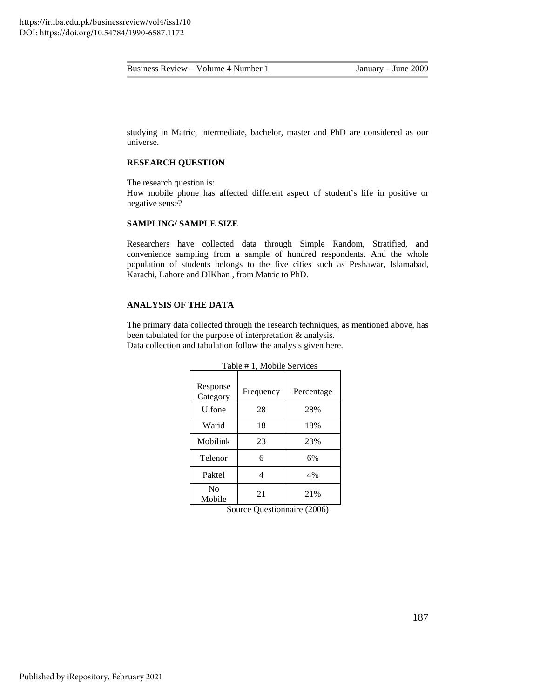studying in Matric, intermediate, bachelor, master and PhD are considered as our universe.

#### **RESEARCH QUESTION**

The research question is: How mobile phone has affected different aspect of student's life in positive or negative sense?

## **SAMPLING/ SAMPLE SIZE**

Researchers have collected data through Simple Random, Stratified, and convenience sampling from a sample of hundred respondents. And the whole population of students belongs to the five cities such as Peshawar, Islamabad, Karachi, Lahore and DIKhan , from Matric to PhD.

## **ANALYSIS OF THE DATA**

The primary data collected through the research techniques, as mentioned above, has been tabulated for the purpose of interpretation & analysis. Data collection and tabulation follow the analysis given here.

| Table # 1, Mobile Services |           |            |  |  |
|----------------------------|-----------|------------|--|--|
| Response<br>Category       | Frequency | Percentage |  |  |
| U fone                     | 28        | 28%        |  |  |
| Warid                      | 18        | 18%        |  |  |
| Mobilink                   | 23        | 23%        |  |  |
| Telenor                    | 6         | 6%         |  |  |
| Paktel                     | 4         | 4%         |  |  |
| N <sub>0</sub><br>Mobile   | 21        | 21%        |  |  |

 $T$  1,  $\frac{1}{2}$   $\frac{1}{2}$   $\frac{1}{2}$   $\frac{1}{2}$   $\frac{1}{2}$   $\frac{1}{2}$   $\frac{1}{2}$   $\frac{1}{2}$   $\frac{1}{2}$   $\frac{1}{2}$   $\frac{1}{2}$   $\frac{1}{2}$   $\frac{1}{2}$   $\frac{1}{2}$   $\frac{1}{2}$   $\frac{1}{2}$   $\frac{1}{2}$   $\frac{1}{2}$   $\frac{1}{2}$   $\frac{1}{2}$   $\frac{1}{2}$   $\frac{$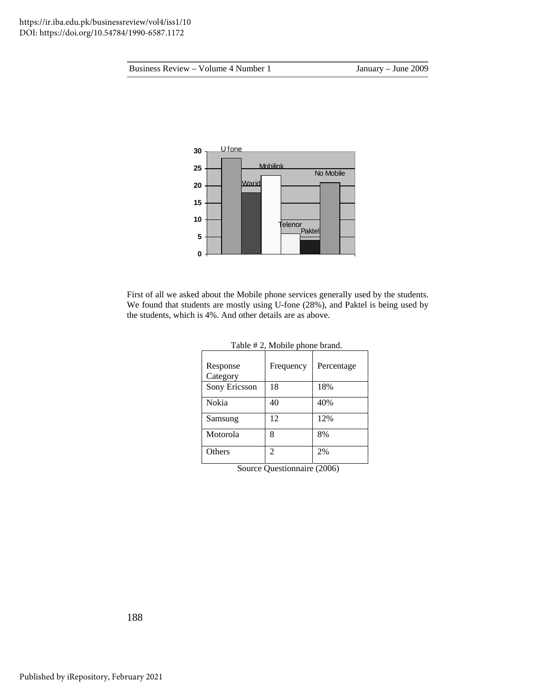

First of all we asked about the Mobile phone services generally used by the students. We found that students are mostly using U-fone (28%), and Paktel is being used by the students, which is 4%. And other details are as above.

| Response<br>Category | Frequency | Percentage |
|----------------------|-----------|------------|
| Sony Ericsson        | 18        | 18%        |
| Nokia                | 40        | 40%        |
| Samsung              | 12        | 12%        |
| Motorola             | 8         | 8%         |
| Others               | 2         | 2%         |

| Table # 2, Mobile phone brand. |  |  |  |
|--------------------------------|--|--|--|
|--------------------------------|--|--|--|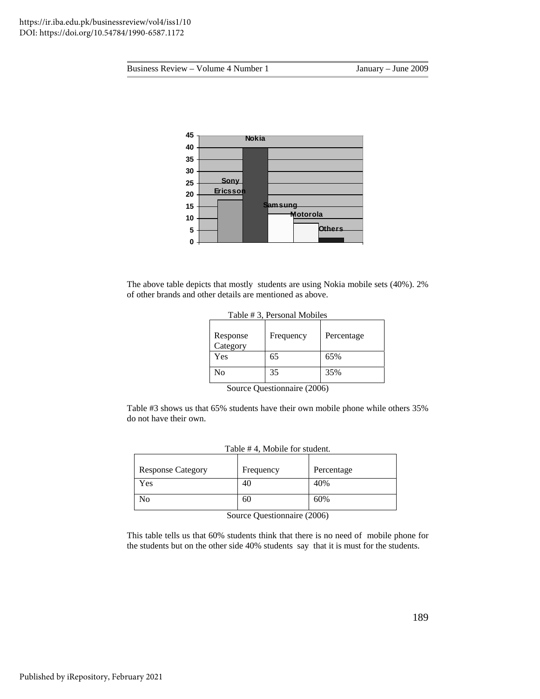

The above table depicts that mostly students are using Nokia mobile sets (40%). 2% of other brands and other details are mentioned as above.

| <b>T</b> able $\pi$ 5, I crobing imposites |           |            |  |  |
|--------------------------------------------|-----------|------------|--|--|
| Response<br>Category                       | Frequency | Percentage |  |  |
| Yes                                        | 65        | 65%        |  |  |
| No                                         | 35        | 35%        |  |  |

|  | Table #3, Personal Mobiles |  |
|--|----------------------------|--|
|--|----------------------------|--|

Source Questionnaire (2006)

Table #3 shows us that 65% students have their own mobile phone while others 35% do not have their own.

| $1$ able $\pi$ +, ividence for statical. |           |            |  |  |  |
|------------------------------------------|-----------|------------|--|--|--|
| <b>Response Category</b>                 | Frequency | Percentage |  |  |  |
| Yes                                      | 40        | 40%        |  |  |  |
| N <sub>0</sub>                           | 60        | 60%        |  |  |  |

|  |  |  |  | Table #4, Mobile for student |  |
|--|--|--|--|------------------------------|--|
|  |  |  |  |                              |  |

Source Questionnaire (2006)

This table tells us that 60% students think that there is no need of mobile phone for the students but on the other side 40% students say that it is must for the students.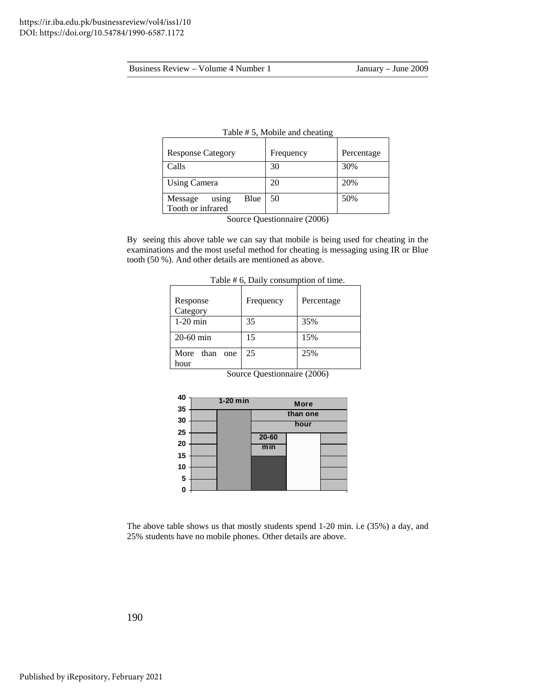| $14010$ $\mu$ $\sigma$ , $1400$ $\mu$ $\sigma$ and $1400$ |                                           |            |  |  |  |
|-----------------------------------------------------------|-------------------------------------------|------------|--|--|--|
| <b>Response Category</b>                                  | Frequency                                 | Percentage |  |  |  |
| Calls                                                     | 30                                        | 30%        |  |  |  |
| <b>Using Camera</b>                                       | 20                                        | 20%        |  |  |  |
| Blue<br>Message<br>using<br>Tooth or infrared             | 50                                        | 50%        |  |  |  |
|                                                           | $\Omega$ . $\Omega$ . $\Omega$ . $\Omega$ |            |  |  |  |

| Table #5, Mobile and cheating |  |  |  |
|-------------------------------|--|--|--|
|-------------------------------|--|--|--|

Source Questionnaire (2006)

By seeing this above table we can say that mobile is being used for cheating in the examinations and the most useful method for cheating is messaging using IR or Blue tooth (50 %). And other details are mentioned as above.

|                             | $1$ able $\pi$ o, $D$ any consumption of time. |            |  |  |  |  |
|-----------------------------|------------------------------------------------|------------|--|--|--|--|
| Response<br>Category        | Frequency                                      | Percentage |  |  |  |  |
| $1-20$ min                  | 35                                             | 35%        |  |  |  |  |
| $20-60$ min                 | 15                                             | 15%        |  |  |  |  |
| More<br>than<br>one<br>hour | 25                                             | 25%        |  |  |  |  |

Table # 6, Daily consumption of time.

Source Questionnaire (2006)

| 40 |            |           |             |  |
|----|------------|-----------|-------------|--|
|    | $1-20$ min |           | <b>More</b> |  |
| 35 |            |           | than one    |  |
| 30 |            |           |             |  |
|    |            |           | hour        |  |
| 25 |            | $20 - 60$ |             |  |
| 20 |            |           |             |  |
|    |            | min       |             |  |
| 15 |            |           |             |  |
| 10 |            |           |             |  |
|    |            |           |             |  |
| 5  |            |           |             |  |
| 0  |            |           |             |  |
|    |            |           |             |  |

The above table shows us that mostly students spend 1-20 min. i.e (35%) a day, and 25% students have no mobile phones. Other details are above.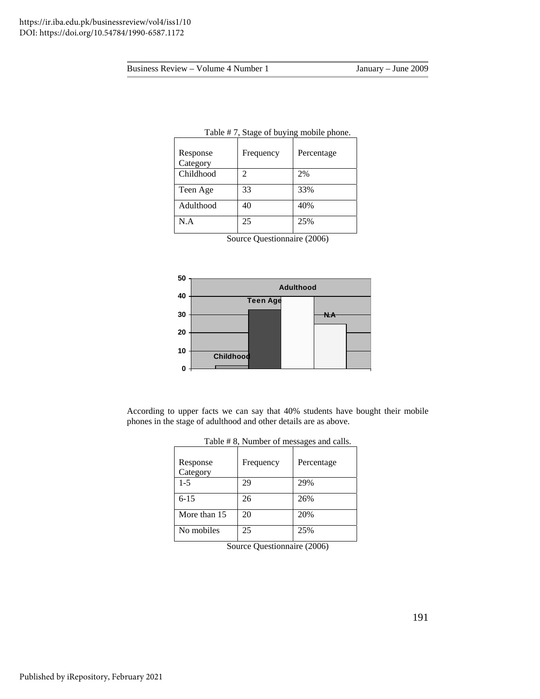| $r_{\rm max}$ , stage of $\sigma_{\rm max}$ moone phone. |           |            |  |  |
|----------------------------------------------------------|-----------|------------|--|--|
| Response<br>Category                                     | Frequency | Percentage |  |  |
| Childhood                                                | 2         | 2%         |  |  |
| Teen Age                                                 | 33        | 33%        |  |  |
| Adulthood                                                | 40        | 40%        |  |  |
| N.A                                                      | 25        | 25%        |  |  |

## Table # 7, Stage of buying mobile phone.

Source Questionnaire (2006)



According to upper facts we can say that 40% students have bought their mobile phones in the stage of adulthood and other details are as above.

| Response<br>Category | Frequency | Percentage |
|----------------------|-----------|------------|
| $1 - 5$              | 29        | 29%        |
| $6 - 15$             | 26        | 26%        |
| More than 15         | 20        | 20%        |
| No mobiles           | 25        | 25%        |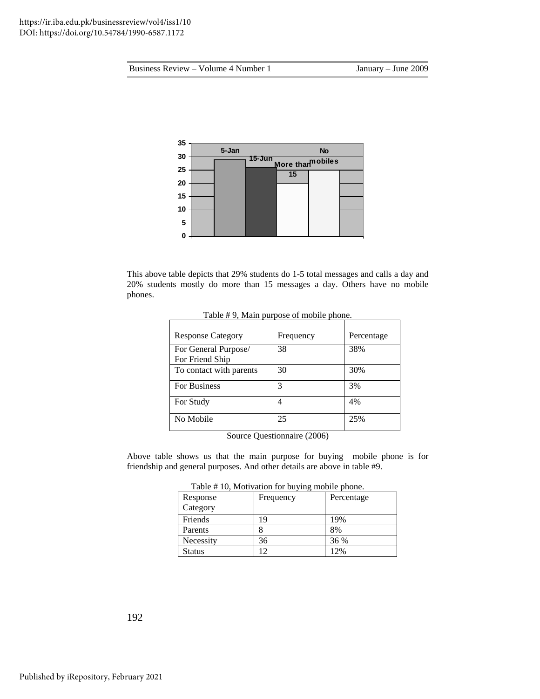

This above table depicts that 29% students do 1-5 total messages and calls a day and 20% students mostly do more than 15 messages a day. Others have no mobile phones.

| raone <i>n &gt;</i> , main purpose or moone phone. |           |            |  |  |
|----------------------------------------------------|-----------|------------|--|--|
| <b>Response Category</b>                           | Frequency | Percentage |  |  |
| For General Purpose/<br>For Friend Ship            | 38        | 38%        |  |  |
| To contact with parents                            | 30        | 30%        |  |  |
| <b>For Business</b>                                | 3         | 3%         |  |  |
| For Study                                          | 4         | 4%         |  |  |
| No Mobile                                          | 25        | 25%        |  |  |

Table # 9, Main purpose of mobile phone.

Source Questionnaire (2006)

Above table shows us that the main purpose for buying mobile phone is for friendship and general purposes. And other details are above in table #9.

|  | Table #10, Motivation for buying mobile phone. |  |  |
|--|------------------------------------------------|--|--|
|  |                                                |  |  |

| Response  | Frequency | Percentage |
|-----------|-----------|------------|
| Category  |           |            |
| Friends   | 9         | 19%        |
| Parents   |           | 8%         |
| Necessity | 36        | 36 %       |
| Status    |           | 12%        |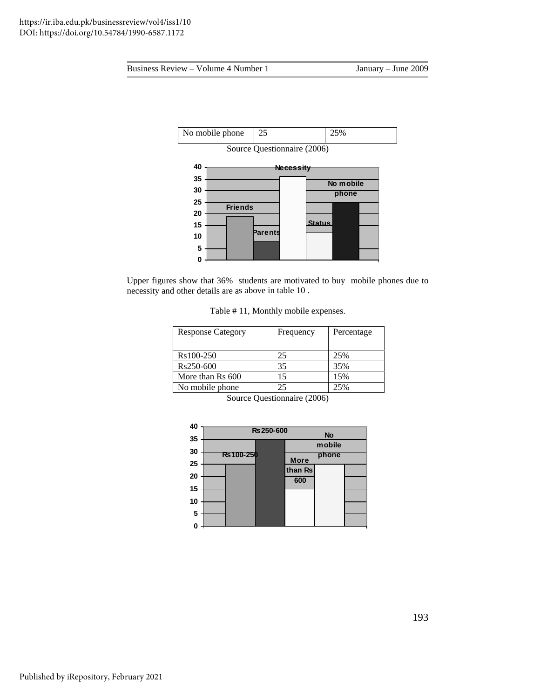

Upper figures show that 36% students are motivated to buy mobile phones due to necessity and other details are a s above in table 10 .

Table # 11, Monthly mobile expenses.

| <b>Response Category</b> | Frequency | Percentage |
|--------------------------|-----------|------------|
|                          |           |            |
| Rs100-250                | 25        | 25%        |
| Rs250-600                | 35        | 35%        |
| More than Rs 600         | 15        | 15%        |
| No mobile phone          | 25        | 25%        |

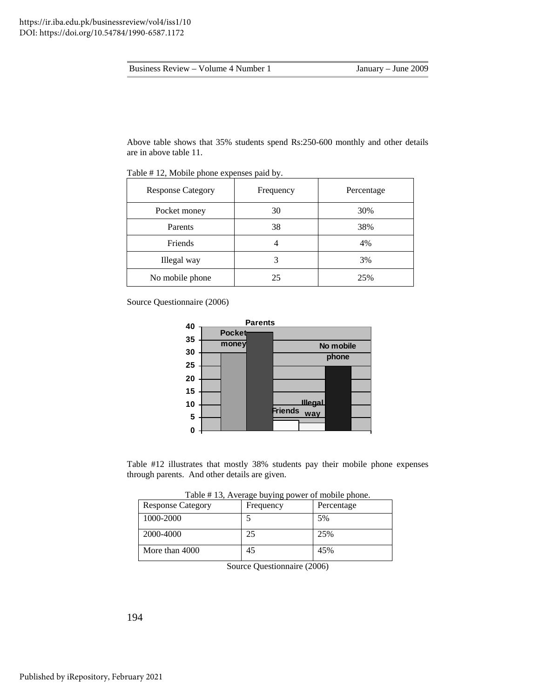| Business Review – Volume 4 Number 1 |  |  |  |  |  |
|-------------------------------------|--|--|--|--|--|
|-------------------------------------|--|--|--|--|--|

Above table shows that 35% students spend Rs:250-600 monthly and other details are in above table 11.

| <b>Response Category</b> | Frequency | Percentage |
|--------------------------|-----------|------------|
| Pocket money             | 30        | 30%        |
| Parents                  | 38        | 38%        |
| Friends                  |           | 4%         |
| Illegal way              | 3         | 3%         |
| No mobile phone          | 25        | 25%        |

Table #12, Mobile phone expenses paid by.

Source Questionnaire (2006)



Table #12 illustrates that mostly 38% students pay their mobile phone expenses through parents. And other details are given.

|  | Table #13, Average buying power of mobile phone. |
|--|--------------------------------------------------|
|  |                                                  |

| <b>Response Category</b> | Frequency | Percentage |
|--------------------------|-----------|------------|
| 1000-2000                |           | 5%         |
| 2000-4000                | 25        | 25%        |
| More than 4000           | 45        | 45%        |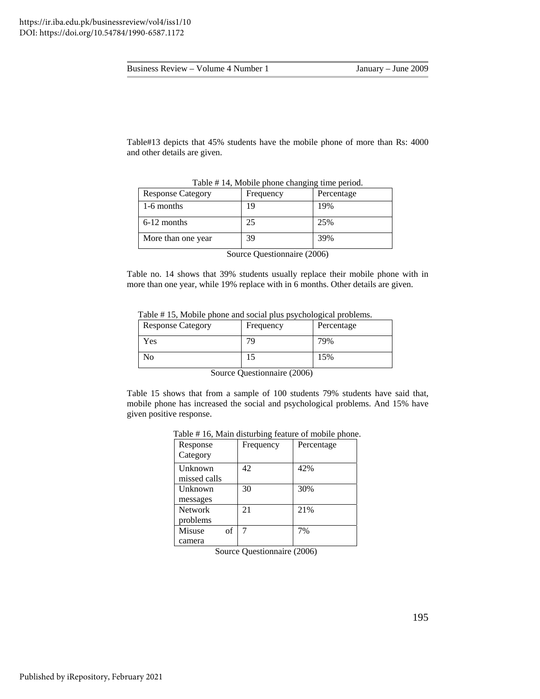| Business Review – Volume 4 Number 1 | January – June 2009 |
|-------------------------------------|---------------------|
|-------------------------------------|---------------------|

Table#13 depicts that 45% students have the mobile phone of more than Rs: 4000 and other details are given.

| $1.4014$ $1.1111$ $1.11001$ $1.1011$ $1.1011$ $1.1011$ |           |            |
|--------------------------------------------------------|-----------|------------|
| <b>Response Category</b>                               | Frequency | Percentage |
| 1-6 months                                             | Q         | 19%        |
| $6-12$ months                                          | 25        | 25%        |
| More than one year                                     | 39        | 39%        |

Table # 14, Mobile phone changing time period.

Source Questionnaire (2006)

Table no. 14 shows that 39% students usually replace their mobile phone with in more than one year, while 19% replace with in 6 months. Other details are given.

Table #15, Mobile phone and social plus psychological problems.

| <b>Response Category</b> | Frequency | Percentage |
|--------------------------|-----------|------------|
| Yes                      | 79        | 79%        |
| No                       |           | 15%        |

Source Questionnaire (2006)

Table 15 shows that from a sample of 100 students 79% students have said that, mobile phone has increased the social and psychological problems. And 15% have given positive response.

| Response       | Frequency | Percentage |
|----------------|-----------|------------|
| Category       |           |            |
| Unknown        | 42        | 42%        |
| missed calls   |           |            |
| Unknown        | 30        | 30%        |
| messages       |           |            |
| <b>Network</b> | 21        | 21%        |
| problems       |           |            |
| Misuse<br>of   | 7         | 7%         |
| camera         |           |            |

Table # 16, Main disturbing feature of mobile phone.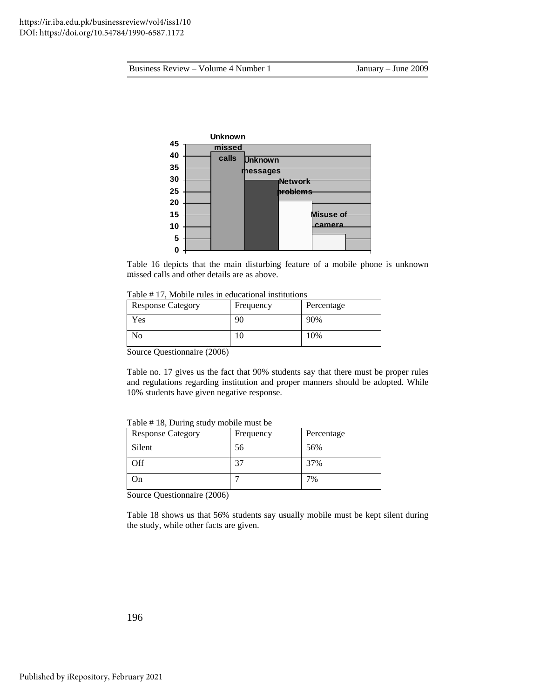

Table 16 depicts that the main disturbing feature of a mobile phone is unknown missed calls and other details are as above.

| Table #17, Mobile rules in educational institutions |  |
|-----------------------------------------------------|--|
|-----------------------------------------------------|--|

| <b>Response Category</b> | Frequency | Percentage |
|--------------------------|-----------|------------|
| Yes                      | 90        | 90%        |
| No                       |           | 10%        |

Source Questionnaire (2006)

Table no. 17 gives us the fact that 90% students say that there must be proper rules and regulations regarding institution and proper manners should be adopted. While 10% students have given negative response.

| <b>Response Category</b> | Frequency | Percentage |
|--------------------------|-----------|------------|
| Silent                   | 56        | 56%        |
| Off                      | 37        | 37%        |
| )n                       |           | 7%         |

Table #18, During study mobile must be

Source Questionnaire (2006)

Table 18 shows us that 56% students say usually mobile must be kept silent during the study, while other facts are given.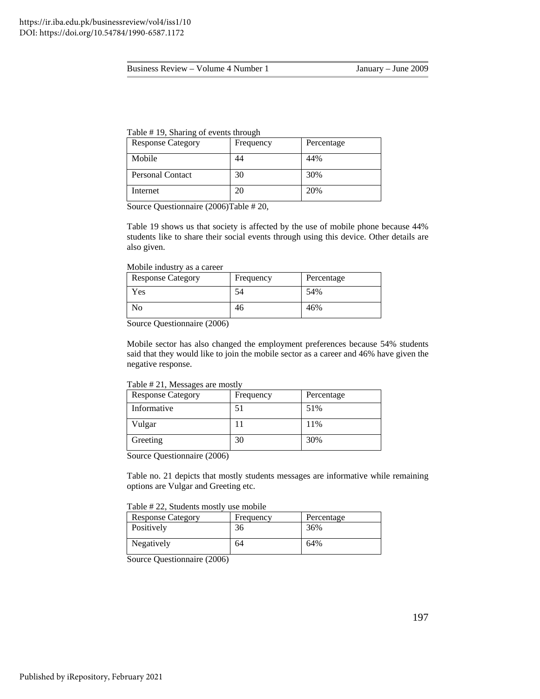| <b>Response Category</b> | Frequency | Percentage |
|--------------------------|-----------|------------|
| Mobile                   | 44        | 44%        |
| <b>Personal Contact</b>  | 30        | 30%        |
| Internet                 | 20        | 20%        |

Source Questionnaire (2006)Table # 20,

students like to share their social events through using this device. Other details are also given. Table 19 shows us that society is affected by the use of mobile phone because 44%

#### Mobile industry as a career

| <b>Response Category</b> | Frequency | Percentage |
|--------------------------|-----------|------------|
| Yes                      | 54        | 54%        |
| No                       | 46        | 46%        |

Source Questionnaire (2006)

Mobile sector has also changed the employment preferences because 54% students said that they would like to join the mobile sector as a career and 46% have given the negative response.

#### Table # 21, Messages are mostly

| <b>Response Category</b> | Frequency | Percentage |
|--------------------------|-----------|------------|
| Informative              | 51        | 51%        |
| Vulgar                   |           | 11%        |
| Greeting                 | 30        | 30%        |

Source Questionnaire (2006)

Table no. 21 depicts that mostly students messages are informative while remaining options are Vulgar and Greeting etc.

## Table # 22, Students mostly use mobile

| <b>Response Category</b> | Frequency | Percentage |
|--------------------------|-----------|------------|
| Positively               | 36        | 36%        |
| Negatively               | 64        | 64%        |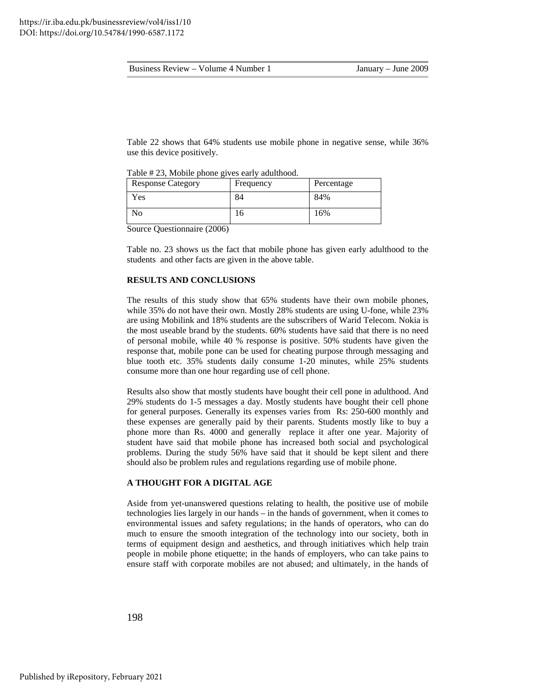|  | Business Review – | - Volume 4 Number 1 |
|--|-------------------|---------------------|
|--|-------------------|---------------------|

Table 22 shows that 64% students use mobile phone in negative sense, while 36% use this device positively.

| I ave $#$ 25, informed priorite gives early additional. |           |            |
|---------------------------------------------------------|-----------|------------|
| <b>Response Category</b>                                | Frequency | Percentage |
| Yes                                                     | 84        | 84%        |
| No                                                      | 10        | 16%        |

 $2.4 - 1.4$  $T_{a}L1_{a} + 22_{a}M_{a}L1$ 

Source Questionnaire (2006)

Table no. 23 shows us the fact that mobile phone has given early adulthood to the students and other facts are given in the above table.

#### **RESULTS AND CONCLUSIONS**

are using Mobilink and 18% students are the subscribers of Warid Telecom. Nokia is the most useable brand by the students. 60% students have said that there is no need of personal mobile, while 40 % response is positive. 50% students have given the response that, mobile pone can be used for cheating purpose through messaging and blue tooth etc. 35% students daily consume 1-20 minutes, while 25% students consume more than one hour regarding use of cell phone. The results of this study show that 65% students have their own mobile phones, while 35% do not have their own. Mostly 28% students are using U-fone, while 23%

Results also show that mostly students have bought their cell pone in adulthood. And 9% students do 1-5 messages a day. Mostly students have bought their cell phone 2 these expenses are generally paid by their parents. Students mostly like to buy a phone more than Rs. 4000 and generally replace it after one year. Majority of student have said that mobile phone has increased both social and psychological problems. During the study 56% have said that it should be kept silent and there for general purposes. Generally its expenses varies from Rs: 250-600 monthly and should also be problem rules and regulations regarding use of mobile phone.

## **A THOUGHT FOR A DIGITAL AGE**

much to ensure the smooth integration of the technology into our society, both in terms of equipment design and aesthetics, and through initiatives which help train Aside from yet-unanswered questions relating to health, the positive use of mobile technologies lies largely in our hands – in the hands of government, when it comes to environmental issues and safety regulations; in the hands of operators, who can do people in mobile phone etiquette; in the hands of employers, who can take pains to ensure staff with corporate mobiles are not abused; and ultimately, in the hands of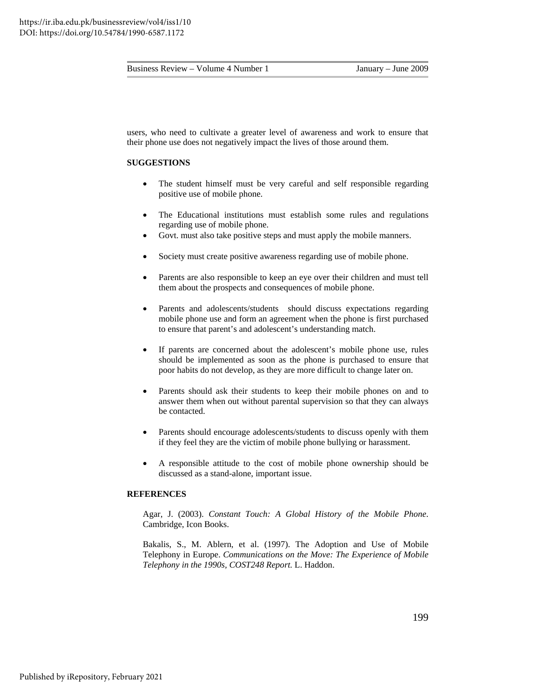| Business Review – Volume 4 Number 1 |
|-------------------------------------|
|                                     |

users, who need to cultivate a greater level of awareness and work to ensure that their phone use does not negatively impact the lives of those around them.

## **SUGGESTIONS**

- The student himself must be very careful and self responsible regarding positive use of mobile phone.
- The Educational institutions must establish some rules and regulations regarding use of mobile phone.
- Govt. must also take positive steps and must apply the mobile manners.
- Society must create positive awareness regarding use of mobile phone.
- Parents are also responsible to keep an eye over their children and must tell them about the prospects and consequences of mobile phone.
- Parents and adolescents/students should discuss expectations regarding mobile phone use and form an agreement when the phone is first purchased to ensure that parent's and adolescent's understanding match.
- should be implemented as soon as the phone is purchased to ensure that • If parents are concerned about the adolescent's mobile phone use, rules poor habits do not develop, as they are more difficult to change later on.
- Parents should ask their students to keep their mobile phones on and to answer them when out without parental supervision so that they can always be contacted.
- Parents should encourage adolescents/students to discuss openly with them if they feel they are the victim of mobile phone bullying or harassment. •
- A responsible attitude to the cost of mobile phone ownership should be discussed as a stand-alone, important issue.

## **REFER ENCES**

Agar, J. (2003). *Constant Touch: A Global History of the Mobile Phone*. Cam bridge, Icon Books.

Bakalis, S., M. Ablern, et al. (1997). The Adoption and Use of Mobile Telephony in Europe. *Communications on the Move: The Experience of Mobile Telephony in the 1990s, COST248 Report.* L. Haddon.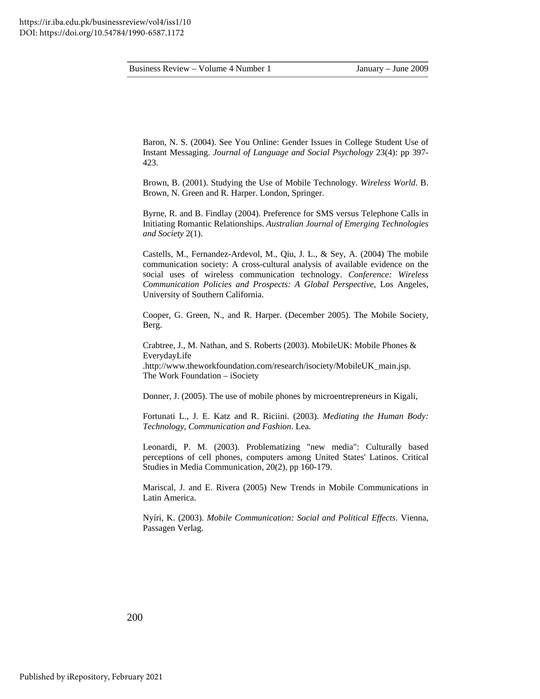Baron, N. S. (2004). See You Online: Gender Issues in College Student Use of Instant Messaging. Journal of Language and Social Psychology 23(4): pp 397-23. 4

Brown, B. (2001). Studying the Use of Mobile Technology. *Wireless World*. B. Brown, N. Green and R. Harper. London, Springer.

Byrne, R. and B. Findlay (2004). Preference for SMS versus Telephone Calls in Initiating Romantic Relationships. *Australian Journal of Emerging Technologies*  and Society 2(1).

communication society: A cross-cultural analysis of available evidence on the social uses of wireless communication technology. Conference: Wireless Castells, M., Fernandez-Ardevol, M., Qiu, J. L., & Sey, A. (2004) The mobile *Communication Policies and Prospects: A Global Perspective*, Los Angeles, University of Southern California.

Cooper, G. Green, N., and R. Harper. (December 2005). The Mobile Society, Berg.

Crabtree, J., M. Nathan, and S. Roberts (2003). MobileUK: Mobile Phones & EverydayLife .http://www.theworkfoundation.com/research/isociety/MobileUK\_main.jsp. The Work Foundation – iSociety

Donner, J. (2005). The use of mobile phones by microentrepreneurs in Kigali,

Fortunati L., J. E. Katz and R. Riciini. (2003). *Mediating the Human Body:* Technology, Communication and Fashion. Lea.

Leonardi, P. M. (2003). Problematizing "new media": Culturally based perceptions of cell phones, computers among United States' Latinos. Critical Studies in Media Communication, 20(2), pp 160-179.

Mariscal, J. and E. Rivera (2005) New Trends in Mobile Communications in Latin America.

Nyíri, K. (2003). Mobile Communication: Social and Political Effects. Vienna, Passagen Verlag.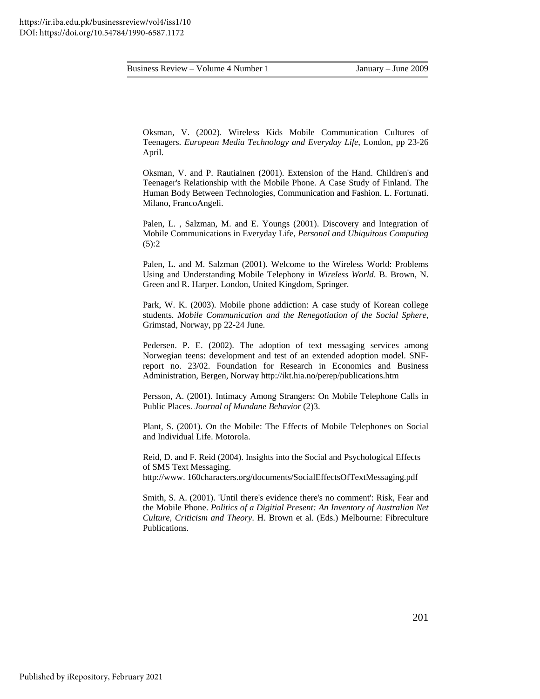Oksman, V. (2002). Wireless Kids Mobile Communication Cultures of Teenagers. *European Media Technology and Everyday Life*, London, pp 23-26 April.

Oksman, V. and P. Rautiainen (2001). Extension of the Hand. Children's and Teenager's Relationship with the Mobile Phone. A Case Study of Finland. The Human Body Between Technologies, Communication and Fashion. L. Fortunati. Milano, FrancoAngeli.

Palen, L., Salzman, M. and E. Youngs (2001). Discovery and Integration of Mobile Communications in Everyday Life, *Personal and Ubiquitous Computing*  $(5):2$ 

Using and Understanding Mobile Telephony in *Wireless World*. B. Brown, N. Green and R. Harper. London, United Kingdom, Springer. Palen, L. and M. Salzman (2001). Welcome to the Wireless World: Problems

students. Mobile Communication and the Renegotiation of the Social Sphere, Grimstad, Norway, pp 22-24 June. Park, W. K. (2003). Mobile phone addiction: A case study of Korean college

report no. 23/02. Foundation for Research in Economics and Business Administration, Bergen, Norway http://ikt.hia.no/perep/publications.htm Pedersen. P. E. (2002). The adoption of text messaging services among Norwegian teens: development and test of an extended adoption model. SNF-

Public Places. Journal of Mundane Behavior (2)3. Persson, A. (2001). Intimacy Among Strangers: On Mobile Telephone Calls in

Plant, S. (2001). On the Mobile: The Effects of Mobile Telephones on Social and Individual Life. Motorola.

Reid, D. and F. Reid (2004). Insights into the Social and Psychological Effects of SMS Text Messaging.

http://www. 160characters.org/documents/SocialEffectsOfTextMessaging.pdf

Smith, S. A. (2001). 'Until there's evidence there's no comment': Risk, Fear and the Mobile Phone. *Politics of a Digitial Present: An Inventory of Australian Net Culture, Criticism and Theory*. H. Brown et al. (Eds.) Melbourne: Fibreculture Publications.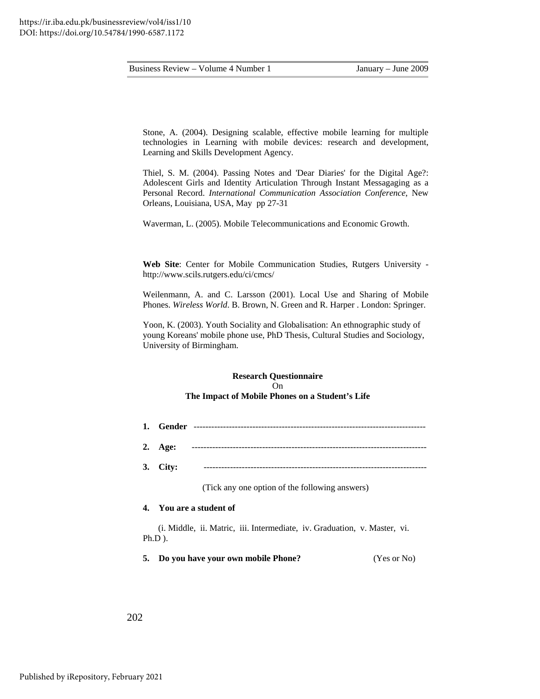Stone, A. (2004). Designing scalable, effective mobile learning for multiple technologies in Learning with mobile devices: research and development, Learning and Skills Development Agency.

Thiel, S. M. (2004). Passing Notes and 'Dear Diaries' for the Digital Age?: Adolescent Girls and Identity Articulation Through Instant Messagaging as a Orleans, Louisiana, USA, May pp 27-31 Personal Record. *International Communication Association Conference*, New

Waverman, L. (2005). Mobile Telecommunications and Economic Growth.

Web Site: Center for Mobile Communication Studies, Rutgers University ttp://www.scils.rutgers.edu/ci/cmcs/ h

Phones. Wireless World. B. Brown, N. Green and R. Harper . London: Springer. Weilenmann, A. and C. Larsson (2001). Local Use and Sharing of Mobile

Yoon, K. (2003). Youth Sociality and Globalisation: An ethnographic study of young Koreans' mobile phone use, PhD Thesis, Cultural Studies and Sociology, University of Birmingham.

## On **The Impact of Mobile Phones on a Student's Life Research Questionnaire**

- ------------------------------------------------- **1. Gender** ------------------------------
- **2. Age:** --------------------------------------------------------------------------------
- **. City:** ---------------------------------------------------------------------------- **3**

(Tick any one option of the following answers)

## **. You are a student of 4**

(i. Middle, ii. Matric, iii. Intermediate, iv. Graduation, v. Master, vi. Ph.D ).

**5. Do you have your own mobile Phone?** (Yes or No)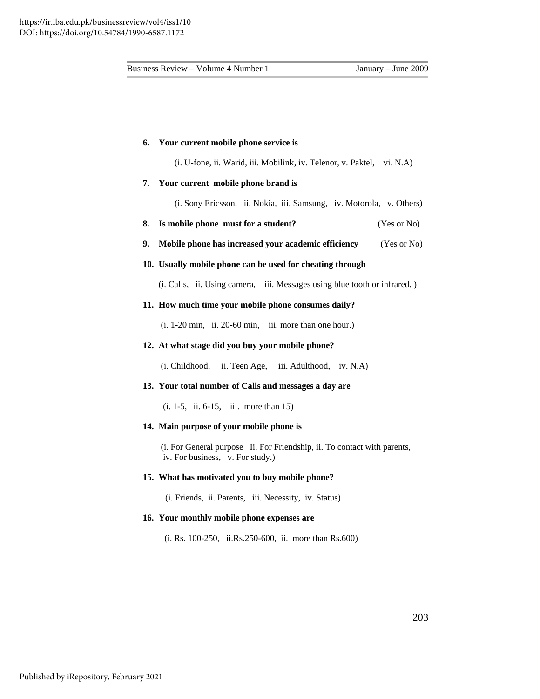#### **6. Your current mobile phone service is**

(i. U-fone, ii. Warid, iii. Mobilink, iv. Telenor, v. Paktel, vi. N.A)

#### **7. Your current mobile phone brand is**

(i. Sony Ericsson, ii. Nokia, iii. Samsung, iv. Motorola, v. Others)

- **dent?** (Yes or No) **8. Is mobile phone must for a stu**
- $(Yes$  or No) **9.** Mobile phone has increased your academic efficiency

## **10. Usually mobile phone can be used for cheating through**

(i. Calls, ii. Using camera, iii. Messages using blue tooth or infrared. )

## **11. How much time your mobile phone consumes daily?**

(i. 1-20 min, ii. 20-60 min, iii. more than one hour.)

## **12. At what stage did you buy your mobile phone?**

(i. Childhood, ii. Teen Age, iii. Adulthood, iv. N.A)

## **13. Your total number of Calls and messages a day are**

(i. 1-5, ii. 6-15, iii. more than 15)

## **14. Main purpose of your mobile phone is**

 (i. For General purpose Ii. For Friendship, ii. To contact with parents, iv. For business, v. For study.)

#### **15. What has motivated you to buy mobile phone?**

(i. Friends, ii. Parents, iii. Necessity, iv. Status)

#### **16. Your monthly mobile phone expenses are**

 $(i. Rs. 100-250, ii. Rs. 250-600, ii. more than Rs.600)$